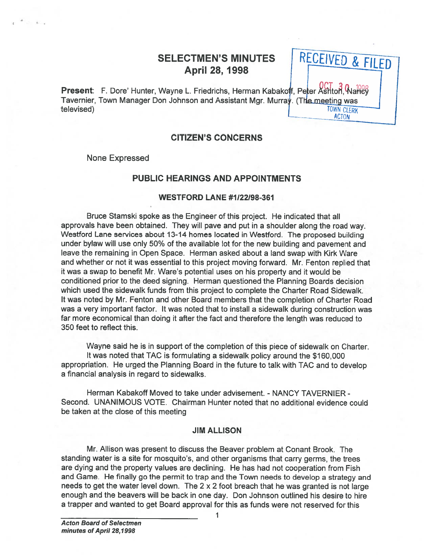# SELECTMEN'S MINUTES April 28, 1998

RECEIVED & FILED

Present: F. Dore' Hunter, Wayne L. Friedrichs, Herman Kabakoff, Peter Ashton, Waney Tavernier, Town Manager Don Johnson and Assistant Mgr. Murray. (The meeting was televised) **TOWN CLERK ACTON** 

### CITIZEN'S CONCERNS

None Expressed

### PUBLIC HEARINGS AND APPOINTMENTS

### WESTFORD LANE #1122198-361

Bruce Stamski spoke as the Engineer of this project. He indicated that all approvals have been obtained. They will pave and pu<sup>t</sup> in <sup>a</sup> shoulder along the road way. Westford Lane services about 13-14 homes located in Wesiford. The proposed building under bylaw will use only 50% of the available lot for the new building and pavemen<sup>t</sup> and leave the remaining in Open Space. Herman asked about <sup>a</sup> land swap with Kirk Ware and whether or not it was essential to this project moving forward. Mr. Fenton replied that it was <sup>a</sup> swap to benefit Mr. Ware's potential uses on his property and it would be conditioned prior to the deed signing. Herman questioned the Planning Boards decision which used the sidewalk funds from this project to complete the Charter Road Sidewalk. It was noted by Mr. Fenton and other Board members that the completion of Charter Road was <sup>a</sup> very important factor. It was noted that to install <sup>a</sup> sidewalk during construction was far more economical than doing it after the fact and therefore the length was reduced to 350 feet to reflect this.

Wayne said he is in suppor<sup>t</sup> of the completion of this piece of sidewalk on Charter. It was noted that TAC is formulating <sup>a</sup> sidewalk policy around the \$160,000 appropriation. He urge<sup>d</sup> the Planning Board in the future to talk with TAC and to develop <sup>a</sup> financial analysis in regard to sidewalks.

Herman Kabakoff Moved to take under advisement. - NANCY TAVERNIER -Second. UNANIMOUS VOTE. Chairman Hunter noted that no additional evidence could be taken at the close of this meeting

### JIM ALLISON

Mr. Allison was presen<sup>t</sup> to discuss the Beaver problem at Conant Brook. The standing water is <sup>a</sup> site for mosquito's, and other organisms that carry germs, the trees are dying and the property values are declining. He has had not cooperation from Fish and Game. He finally go the permit to trap and the Town needs to develop <sup>a</sup> strategy and needs to get the water level down. The  $2 \times 2$  foot breach that he was granted is not large enough and the beavers will be back in one day. Don Johnson outlined his desire to hire <sup>a</sup> trapper and wanted to ge<sup>t</sup> Board approval for this as funds were not reserved for this

1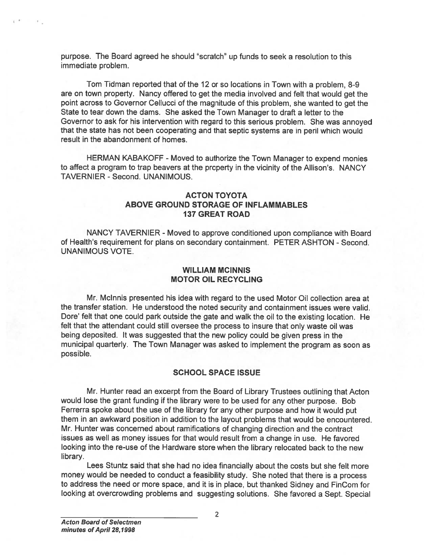purpose. The Board agreed he should "scratch" up funds to seek <sup>a</sup> resolution to this immediate problem.

Tom Tidman reported that of the <sup>12</sup> or so locations in Town with <sup>a</sup> problem, 8-9 are on town property. Nancy offered to ge<sup>t</sup> the media involved and felt that would ge<sup>t</sup> the point across to Governor Cellucci of the magnitude of this problem, she wanted to ge<sup>t</sup> the State to tear down the dams. She asked the Town Manager to draft <sup>a</sup> letter to the Governor to ask for his intervention with regard to this serious problem. She was annoyed that the state has not been cooperating and that septic systems are in peril which would result in the abandonment of homes.

HERMAN KABAKOFF - Moved to authorize the Town Manager to expend monies to affect <sup>a</sup> program to trap beavers at the property in the vicinity of the Allison's. NANCY TAVERNIER -Second. UNANIMOUS.

### ACTON TOYOTA ABOVE GROUND STORAGE OF INFLAMMABLES 137 GREAT ROAD

NANCY TAVERNIER -Moved to approve conditioned upon compliance with Board of Health's requirement for plans on secondary containment. PETER ASHTON - Second. UNANIMOUS VOTE.

### WILLIAM MCINNIS MOTOR OIL RECYCLING

Mr. Mclnnis presented his idea with regard to the used Motor Oil collection area at the transfer station. He understood the noted security and containment issues were valid. Dore' felt that one could park outside the gate and walk the oil to the existing location. He felt that the attendant could still oversee the process to insure that only waste oil was being deposited. It was suggested that the new policy could be <sup>g</sup>iven press in the municipal quarterly. The Town Manager was asked to implement the program as soon as possible.

### SCHOOL SPACE ISSUE

Mr. Hunter read an excerp<sup>t</sup> from the Board of Library Trustees outlining that Acton would lose the gran<sup>t</sup> funding if the library were to be used for any other purpose. Bob Ferrerra spoke about the use of the library for any other purpose and how it would pu<sup>t</sup> them in an awkward position in addition to the layout problems that would be encountered. Mr. Hunter was concerned about ramifications of changing direction and the contract issues as well as money issues for that would result from <sup>a</sup> change in use. He favored looking into the re-use of the Hardware store when the library relocated back to the new library. strumentes. The Board agreed he should "scratch" up funds to seek a resolution to this annotomy. Solutions are on Tom Turiman reported that of the 12 or sol octations in Tom with a problem, S-9 contains and on Tom Turiman

Lees Stuntz said that she had no idea financially about the costs but she felt more money would be needed to conduct <sup>a</sup> feasibility study. She noted that there is <sup>a</sup> process to address the need or more space, and it is in <sup>p</sup>lace, but thanked Sidney and FinCom for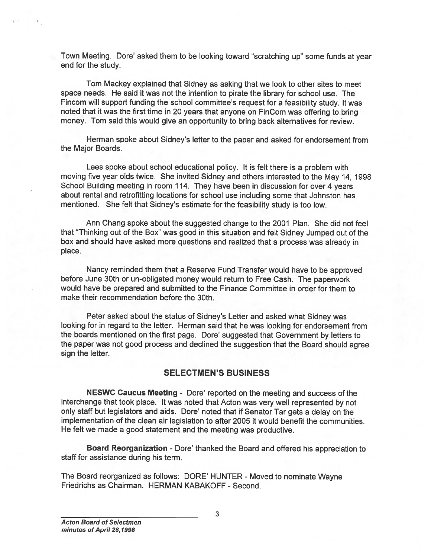Town Meeting. Dote' asked them to be looking toward 'scratching up" some funds at year end for the study.

Tom Mackey explained that Sidney as asking that we look to other sites to meet space needs. He said it was not the intention to pirate the library for school use. The Fincom will suppor<sup>t</sup> funding the school committee's reques<sup>t</sup> for <sup>a</sup> feasibility study. It was noted that it was the first time in <sup>20</sup> years that anyone on FinCom was offering to bring money. Tom said this would give an opportunity to bring back alternatives for review.

Herman spoke about Sidney's letter to the paper and asked for endorsement from the Major Boards.

Lees spoke about school educational policy. It is felt there is <sup>a</sup> problem with moving five year olds twice. She invited Sidney and others interested to the May 14, 1998 School Building meeting in room 114. They have been in discussion for over <sup>4</sup> years about rental and retrofitting locations for school use including some that Johnston has mentioned. She felt that Sidney's estimate for the feasibility study is too low.

Ann Chang spoke about the suggested change to the 2001 Plan. She did not feel that "Thinking out of the Box" was good in this situation and felt Sidney Jumped out of the box and should have asked more questions and realized that <sup>a</sup> process was already in place.

Nancy reminded them that <sup>a</sup> Reserve Fund Transfer would have to be approve<sup>d</sup> before June 30th or un-obligated money would return to Free Cash. The paperwor<sup>k</sup> would have be prepared and submitted to the Finance Committee in order for them to make their recommendation before the 30th.

Peter asked about the status of Sidney's Letter and asked what Sidney was looking for in regard to the letter. Herman said that he was looking for endorsement from the boards mentioned on the first page. Dore' suggested that Government by letters to the paper was not goo<sup>d</sup> process and declined the suggestion that the Board should agree sign the letter. Frowm Meeting. Done' asked them to be looking toward "set<br>
inform will support funding the school committee's requested<br>
Fincom will support funding the school committee's requested<br>
fincomorphic funding the school committ

### SELECTMEN'S BUSINESS

NESWC Caucus Meeting - Dore' reported on the meeting and success of the interchange that took <sup>p</sup>lace. It was noted that Acton was very well represented by not only staff but legislators and aids. Dore' noted that if Senator Tar gets <sup>a</sup> delay on the implementation of the clean air legislation to after 2005 it would benefit the communities. He felt we made <sup>a</sup> good statement and the meeting was productive.

Board Reorganization -Dote' thanked the Board and offered his appreciation to staff for assistance during his term.

The Board reorganized as follows: DORE' HUNTER - Moved to nominate Wayne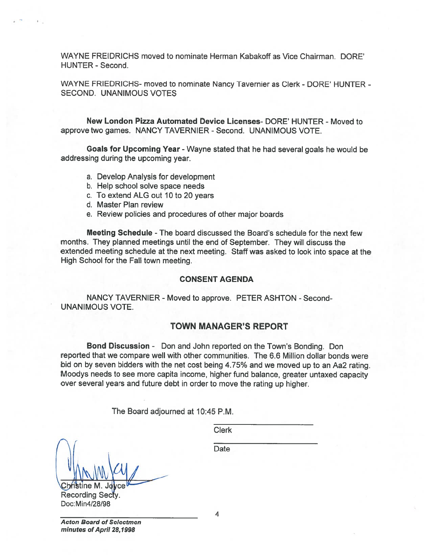WAYNE FREIDRICHS moved to nominate Herman Kabakoff as Vice Chairman. DORE' HUNTER - Second.

WAYNE FRIEDRICHS- moved to nominate Nancy Tavernier as Clerk - DORE' HUNTER - SECOND. UNANIMOUS VOTES

New London Pizza Automated Device Licenses- DORE' HUNTER - Moved to approve two games. NANCY TAVERNIER - Second. UNANIMOUS VOTE.

Goals for Upcoming Year - Wayne stated that he had several goals he would be addressing during the upcoming year.

- a. Develop Analysis for development
- b. Help school solve space needs
- c. To extend ALG out 10 to 20 years
- d. Master Plan review
- e. Review policies and procedures of other major boards

Meeting Schedule -The board discussed the Board's schedule for the next few months. They <sup>p</sup>lanned meetings until the end of September. They will discuss the extended meeting schedule at the next meeting. Staff was asked to look into space at the High School for the Fall town meeting.

#### CONSENT AGENDA

NANCY TAVERNIER - Moved to approve. PETER ASHTON - Second-UNANIMOUS VOTE.

### TOWN MANAGER'S REPORT

Bond Discussion - Don and John reported on the Town's Bonding. Don reported that we compare well with other communities. The 6.6 Million dollar bonds were bid on by seven bidders with the net cost being 4.75% and we moved up to an Aa2 rating. Moodys needs to see more capita income, higher fund balance, greater untaxed capacity over several years and future debt in order to move the rating up higher.

The Board adjourned at 10:45 P.M.

Clerk

**Date** 

Recording Secty. Doc: Min4128/98

Acton Board of Selectmen minutes of April 28,1998

4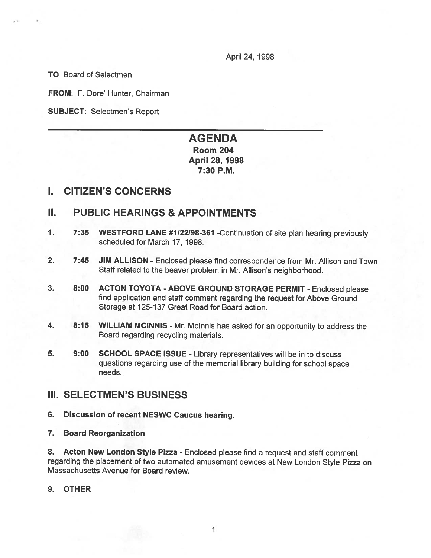April 24, 1998

TO Board of Selectmen

FROM: F. Dore' Hunter, Chairman

SUBJECT: Selectmen's Report

# AGENDA

Room 204 April 28, 1998 7:30 P.M.

## I. CITIZEN'S CONCERNS

## II. PUBLIC HEARINGS & APPOINTMENTS

- 1. 7:35 WESTFORD LANE #1122198-361 -Continuation of site <sup>p</sup>lan hearing previously scheduled for March 17, 1998.
- 2. 7:45 JIM ALLISON Enclosed <sup>p</sup>lease find correspondence from Mr. Allison and Town Staff related to the beaver problem in Mr. Allison's neighborhood.
- 3. 8:00 ACTON TOYOTA ABOVE GROUND STORAGE PERMIT -Enclosed <sup>p</sup>lease find application and staff comment regarding the reques<sup>t</sup> for Above Ground Storage at 125-137 Great Road for Board action.
- 4. 8:15 WILLIAM MCINNIS Mr. Mclnnis has asked for an opportunity to address the Board regarding recycling materials.
- 5. 9:00 SCHOOL SPACE ISSUE Library representatives will be in to discuss questions regarding use of the memorial library building for school space needs.

### III. SELECTMEN'S BUSINESS

- 6. Discussion of recent NESWC Caucus hearing.
- 7. Board Reorganization

8. Acton New London Style Pizza - Enclosed <sup>p</sup>lease find <sup>a</sup> reques<sup>t</sup> and staff comment regarding the <sup>p</sup>lacement of two automated amusement devices at New London Style Pizza on Massachusetts Avenue for Board review.

### 9. OTHER

1 1